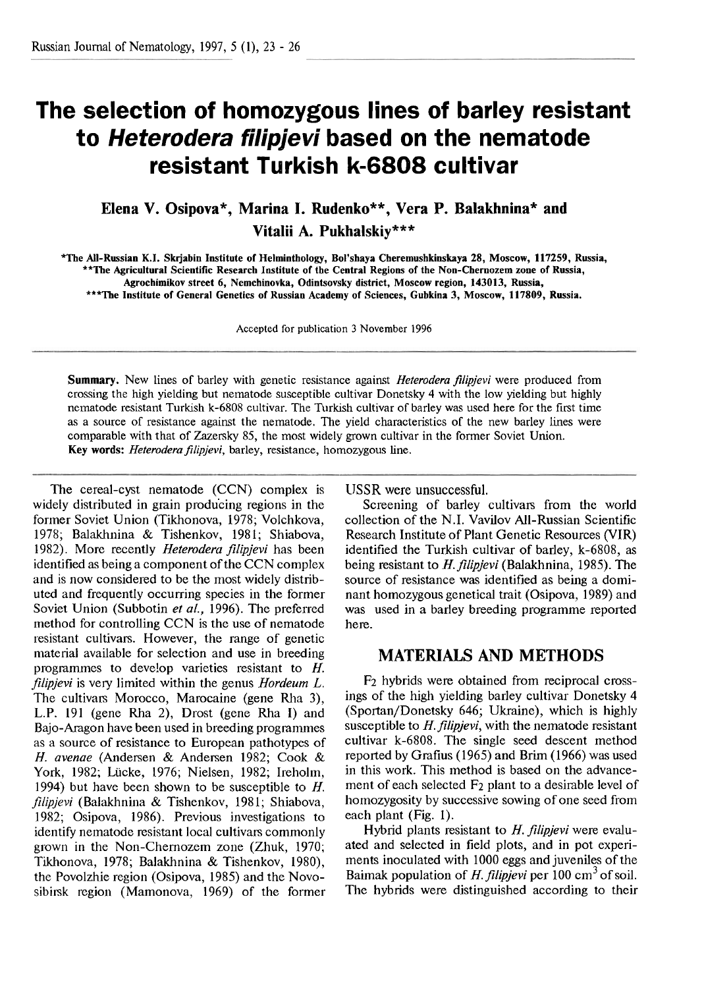## **The selection of homozygous lines of barley resistant to Heterodera filipjevi based on the nematode resistant Turkish k-6808 cultivar**

**Elena V. Osipova\*, Marina I. Rudenko\*\*, Vera P. Balakhnina\* and Vitalii A. Pukhalskiy\*\*\*** 

**\*The AU-Russian K.I. Sk jabin Institute of Helminthology, Bol'shaya Cheremushkinskaya 28, Moscow, 117259, Russia, \*\*The Agricultural Scientific Research Institute of the Central Regions of the Non-Chernozem zone of Russia, Agrochimikov street 6, Nemchinovka, Odintsovsky district, Moscow region, 143013, Russia, \*\*\*The Institute of General Genetics of Russian Academy of Sciences, Gubkina 3, Moscow, 117809, Russia.** 

Accepted for publication 3 November 1996

**Summary.** New lines of barley with genetic resistance against *Heterodera filipjevi* were produced from crossing the high yielding but nematode susceptible cultivar Donetsky 4 with the low yielding but highly nematode resistant Turkish k-6808 cultivar. The Turkish cultivar of barley **was** used here for the first time as a source of resistance against the nematode. The yield characteristics of the new barley lines were comparable with that of Zazersky 85, the most widely grown cultivar in the former Soviet Union. Key words: *Heterodera filipjevi*, barley, resistance, homozygous line.

The cereal-cyst nematode (CCN) complex is widely distributed in grain producing regions in the former Soviet Union (Tikhonova, 1978; Volchkova, 1978; Balakhnina & Tishenkov, 1981; Shiabova, 1982). More recently *Heterodera filipjevi* has been identified as being a component of the CCN complex and is now considered to be the most widely distributed and frequently occurring species in the former Soviet Union (Subbotin *et al.,* 1996). The preferred method for controlling CCN is the use of nematode resistant cultivars. However, the range of genetic material available for selection and use in breeding programmes to deve!op varieties resistant to H. *filipjevi* is very limited within the genus *Hordeurn* L. The cultivars Morocco, Marocaine (gene Rha **3),**  L.P. 191 (gene Rha 2), Drost (gene Rha I) and Bajo-Aragon have been used in breeding programmes as a source of resistance to European pathotypes of H. avenae (Andersen & Andersen 1982; Cook & York, 1982; Liicke, 1976; Nielsen, 1982; Ireholm, 1994) but have been shown to be susceptible to  $H$ . *filipjevi* (Balakhnina & Tishenkov, 1981; Shiabova, 1982; Osipova, 1986). Previous investigations to identify nematode resistant local cultivars commonly grown in the Non-Chernozem zone (Zhuk, 1970; Tikhonova, 1978; Balakhnina & Tishenkov, 1980), the Povolzhie region (Osipova, 1985) and the Novosibirsk region (Mamonova, 1969) of the former USSR were unsuccessful.

Screening of barley cultivars from the world collection of the N.I. Vavilov All-Russian Scientific Research Institute of Plant Genetic Resources (VIR) identified the Turkish cultivar of barley, k-6808, as being resistant to *H.filipjevi* (Balakhnina, 1985). The source of resistance was identified as being a dominant homozygous genetical trait (Osipova, 1989) and was used in a barley breeding programme reported here.

## **MATERIALS AND METHODS**

F2 hybrids were obtained from reciprocal crossings of the high yielding barley cultivar Donetsky 4 (Sportan/Donetsky 646; Ukraine), which is highly susceptible to *H.filipjevi,* with the nematode resistant cultivar k-6808. The single seed descent method reported by Grafius (1965) and Brim (1966) was used in this work. This method is based on the advancement of each selected  $F_2$  plant to a desirable level of homozygosity by successive sowing of one seed from each plant (Fig. 1).

Hybrid plants resistant to *H. filipjevi* were evaluated and selected in field plots, and in pot experiments inoculated with 1000 eggs and juveniles of the Baimak population of *H. filipjevi* per 100 cm<sup>3</sup> of soil. The hybrids were distinguished according to their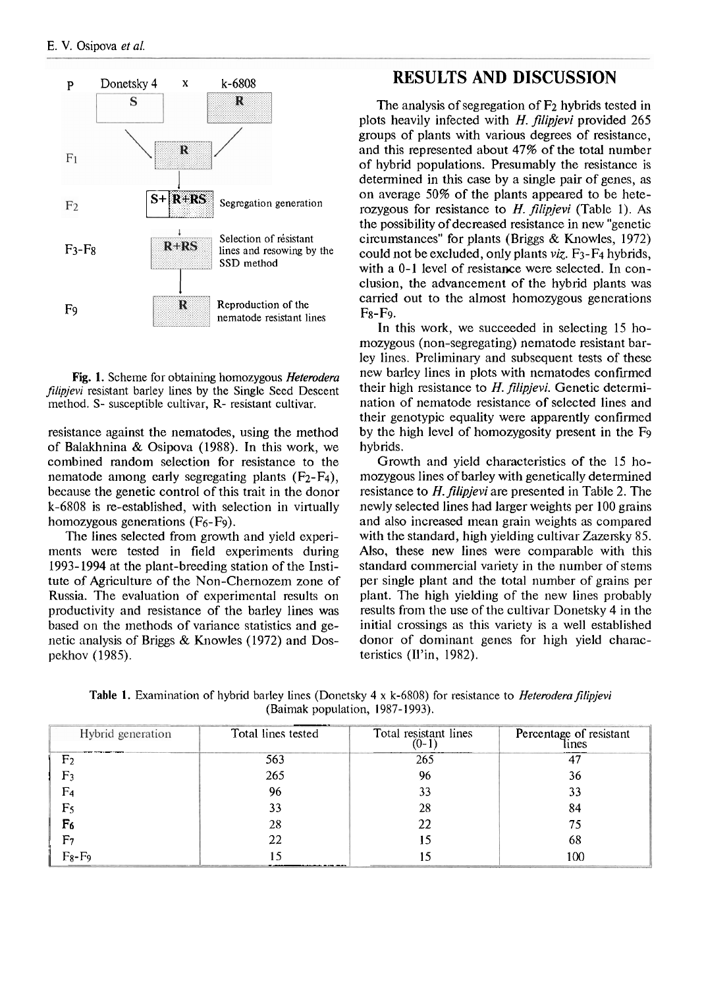

**Fig.** I. Scheme for obtaining homozygous *Heterodera filipjevi* resistant barley lines by the Single Seed Descent method. S- susceptible cultivar, R- resistant cultivar.

resistance against the nematodes, using the method of Balakhnina & Osipova (1988). In this work, we combined random selection for resistance to the nematode among early segregating plants  $(F_2-F_4)$ , because the genetic control of this trait in the donor  $k-6808$  is re-established, with selection in virtually homozygous generations (F<sub>6</sub>-F<sub>9</sub>).

The lines selected from growth and yield experiments were tested in field experiments during 1993-1994 at the plant-breeding station of the Institute of Agriculture of the Non-Chernozem zone of Russia. The evaluation of experimental results on productivity and resistance of the barley lines was based on the methods of variance statistics and genetic analysis of Briggs  $&$  Knowles (1972) and Dospekhov (1985).

## **RESULTS AND DISCUSSION**

The analysis of segregation of  $F<sub>2</sub>$  hybrids tested in plots heavily infected with  $H$ . *filipjevi* provided 265 groups of plants with various degrees of resistance, and this represented about 47% of the total number of hybrid populations. Presumably the resistance is determined in this case by a single pair of genes, as on average 50% of the plants appeared to be heterozygous for resistance to *H. filipjevi* (Table 1). As the possibility of decreased resistance in new "genetic circumstances" for plants (Briggs & Knowles, 1972) could not be excluded, only plants  $viz. F_3-F_4$  hybrids, with a 0-1 level of resistance were selected. In conclusion, the advancement of the hybrid plants was carried out to the almost homozygous generations  $Fs-F9.$ 

In this work, we succeeded in selecting 15 homozygous (non-segregating) nematode resistant barley lines. Preliminary and subsequent tests of these new barley lines in plots with nematodes confirmed their high resistance to  $H$ . filipjevi. Genetic determination of nematode resistance of selected lines and their genotypic equality were apparently confirmed by the high level of homozygosity present in the Fg hybrids.

Growth and yield characteristics of the 15 homozygous lines of barley with genetically determined resistance to  $H$ . *filipjevi* are presented in Table 2. The newly selected lines had larger weights per 100 grains and also increased mean grain weights **as** compared with the standard, high yielding cultivar Zazersky 85. Also, these new lines were comparable with this standard commercial variety in the number of stems per single plant and the total number of grains per plant. The high yielding of the new lines probably results from the use of the cultivar Donetsky 4 in the initial crossings as this variety is a well established donor of dominant genes for high yield chamcteristics (U'in, 1982).

Table 1. Examination of hybrid barley lines (Donetsky 4 x k-6808) for resistance to *Heterodera filipjevi* (Baimak population, 1987-1993).

| Hybrid generation | Total lines tested | Total resistant lines<br>$(0-1)$ | Percentage of resistant<br>lines |
|-------------------|--------------------|----------------------------------|----------------------------------|
| F <sub>2</sub>    | 563                | 265                              | 47                               |
| F٦                | 265                | 96                               | 36                               |
| F4                | 96                 | 33                               | 33                               |
| F5                | 33                 | 28                               | 84                               |
| F6                | 28                 | 22                               | 75                               |
| F7                | 22                 |                                  | 68                               |
| $F_8-F_9$         |                    |                                  | 100                              |
|                   |                    |                                  |                                  |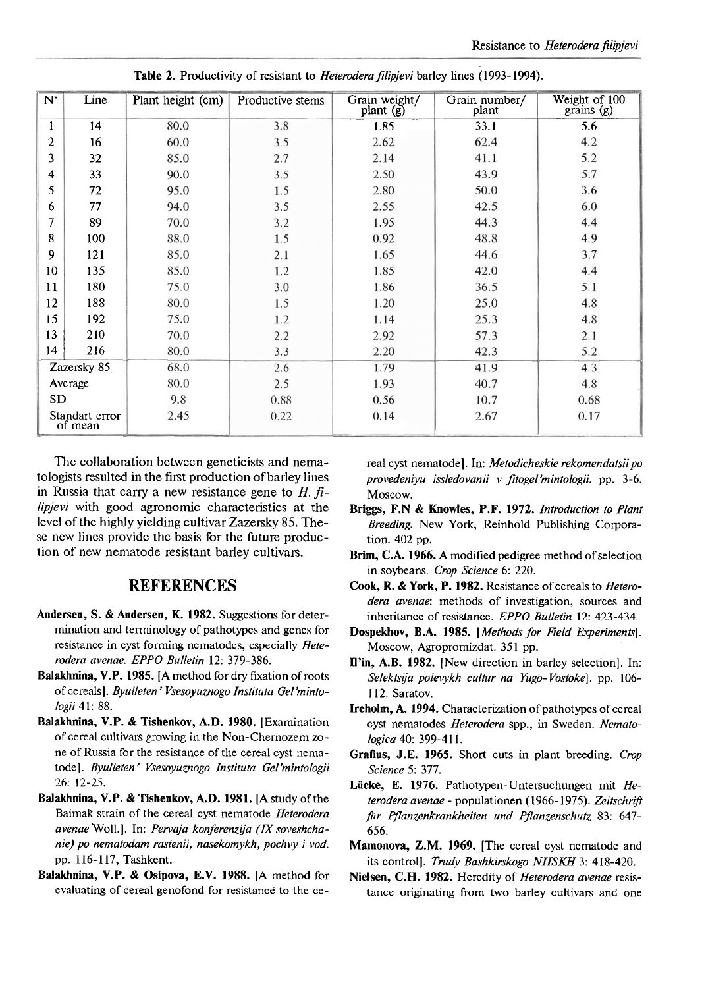| $N^{\circ}$ | Line                      | Plant height (cm) | Productive stems | Grain weight/<br>plant (g) | Grain number/<br>plant | Weight of 100<br>grains(g) |
|-------------|---------------------------|-------------------|------------------|----------------------------|------------------------|----------------------------|
| ı.          | 14                        | 80.0              | 3.8              | 1.85                       | 33.1                   | 5.6                        |
| 2           | 16                        | 60.0              | 3.5              | 2.62                       | 62.4                   | 4.2                        |
| 3           | 32                        | 85.0              | 2.7              | 2.14                       | 41.1                   | 5.2                        |
| 4           | 33                        | 90.0              | 3.5              | 2.50                       | 43.9                   | 5.7                        |
| 5           | 72                        | 95.0              | 1.5              | 2.80                       | 50.0                   | 3.6                        |
| 6           | 77                        | 94.0              | 3.5              | 2.55                       | 42.5                   | 6.0                        |
| 7           | 89                        | 70.0              | 3.2              | 1.95                       | 44.3                   | 4.4                        |
| 8           | 100                       | 88.0              | 1.5              | 0.92                       | 48.8                   | 4.9                        |
| 9           | 121                       | 85.0              | 2.1              | 1.65                       | 44.6                   | 3.7                        |
| 10          | 135                       | 85.0              | 1.2              | 1.85                       | 42.0                   | 4.4                        |
| 11          | 180                       | 75.0              | 3.0              | 1.86                       | 36.5                   | 5.1                        |
| 12          | 188                       | 80.0              | 1.5              | 1.20                       | 25.0                   | 4.8                        |
| 15          | 192                       | 75.0              | 1.2              | 1.14                       | 25.3                   | 4.8                        |
| 13          | 210                       | 70.0              | 2.2              | 2.92                       | 57.3                   | 2.1                        |
| 14          | 216                       | 80.0              | 3.3              | 2.20                       | 42.3                   | 5.2                        |
|             | Zazersky 85               | 68.0              | 2.6              | 1.79                       | 41.9                   | 4.3                        |
|             | Average                   | 80.0              | 2.5              | 1.93                       | 40.7                   | 4.8                        |
| <b>SD</b>   |                           | 9.8               | 0.88             | 0.56                       | 10.7                   | 0.68                       |
|             | Standart error<br>of mean | 2.45              | 0.22             | 0.14                       | 2.67                   | 0.17                       |

Table 2. Productivity of resistant to *Heterodera filipjevi* barley lines (1993-1994).

The collaboration between geneticists and nematologists resulted in the first production of barley lines in Russia that carry a new resistance gene to  $H$ .  $\hat{\mu}$ **lipjevi** with good agronomic characteristics at the level of the highly yielding cultivar Zazersky 85. These new lines provide the basis for the future production of new nematode resistant barley cultivars.

## **REFERENCES**

- **Andersen, S.** & **Andersen, K. 1982.** Suggestions for determination and terminology of pathotypes and genes for resistance in cyst forming nematodes, especially Heterodera avenae. EPPO Bulletin 12: 379-386.
- **Balakhnina, V.P. 1985.** [A method for dry fixation of roots of cereals]. Byulleten' Vsesoyuznogo Instituta Gel'mintologii 41: 88.
- **Balakhnina, V.P.** & **Tishenkov, A.D. 1980.** [Examination of cereal cultivars growing in the Non-Chemozem zone of Russia for the resistance of the cereal cyst nematode]. Byulleten' Vsesoyuznogo Instituta Gel'mintologii 26: 12-25.
- **Balakhnina, V.P. & Tishenkov, A.D. 1981. [A study of the** Baimak strain of the cereal cyst nematode Heterodera avenae Woll. I. In: Pervaja konferenzija **(LX** soveshchanie) po nematodam rastenii, nasekomykh, pochvy i vod. pp. 1 16- 1 17, Tashkent.
- **Balakhnina, V.P.** & **Osipova, E.V. 1988. [A** method for evaluating of cereal genofond for resistance to the ce-

real cyst nematode]. In: Metodicheskie rekomendatsii po provedeniyu issledovanii v fitogel 'mintologii. pp. 3 -6. Moscow.

- **Briggs, F.N** & **Knowles, P.F. 1972.** Introduction to Plant Breeding. New York, Reinhold Publishing Corporation. 402 pp.
- **Brim, C.A. 1966. A** modified pedigree method of selection in soybeans. Crop Science 6: 220.
- **Cook,** R. & **York, P. 1982.** Resistance of cereals to Heterodera avenae: methods of investigation, sources and inheritance of resistance. EPPO Bulletin 12: 423-434.
- **Dospekhov, B.A. 1985.** [Methods for Field Experiments]. Moscow, Agropromizdat. 351 pp.
- **Win, A.B. 1982.** [New direction in barley selection]. In: Selektsija polevykh cultur na Yugo-Vostoke]. pp. 106-1 12. Saratov.
- **Ireholm, A. 1994.** Characterization of pathotypes of cereal cyst nematodes Heterodera spp., in Sweden. Nematologica 40: 399-411.
- **Grafius,** J.E. **1965.** Short cuts in plant breeding. Crop Science 5: 377.
- **Liicke,** E. **1976.** Pathotypen-Untersuchungen mit Heterodera avenae - populationen (1966-1975). Zeitschrift fir Pflanzenkrankheiten und Pfanzenschutz 83: 647- 656.
- **Marnonova, Z.M. 1969.** [The cereal cyst nematode and its control]. Trudy Bashkirskogo NIISKH 3: 418-420.
- Nielsen, C.H. 1982. Heredity of *Heterodera avenae* resistance originating from two barley cultivars and one